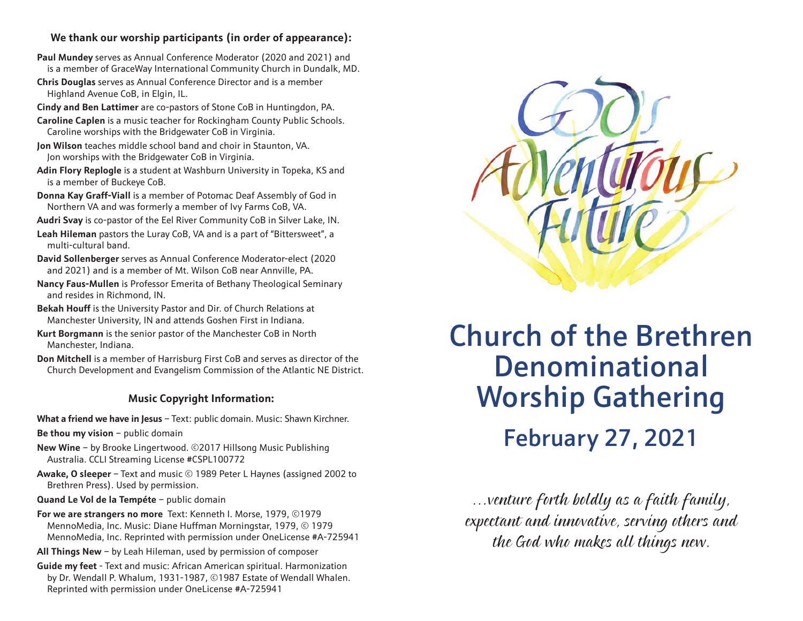## **We thank our worship participants (in order of appearance):**

- **Paul Mundey** serves as Annual Conference Moderator (2020 and 2021) and is a member of GraceWay International Community Church in Dundalk, MD.
- **Chris Douglas** serves as Annual Conference Director and is a member Highland Avenue CoB, in Elgin, IL.
- **Cindy and Ben Lattimer** are co-pastors of Stone CoB in Huntingdon, PA.
- **Caroline Caplen** is a music teacher for Rockingham County Public Schools. Caroline worships with the Bridgewater CoB in Virginia.
- **Jon Wilson** teaches middle school band and choir in Staunton, VA. Jon worships with the Bridgewater CoB in Virginia.
- **Adin Flory Replogle** is a student at Washburn University in Topeka, KS and is a member of Buckeye CoB.
- **Donna Kay Graff-Viall** is a member of Potomac Deaf Assembly of God in Northern VA and was formerly a member of Ivy Farms CoB, VA.
- **Audri Svay** is co-pastor of the Eel River Community CoB in Silver Lake, IN.
- **Leah Hileman** pastors the Luray CoB, VA and is a part of "Bittersweet", a multi-cultural band.
- **David Sollenberger** serves as Annual Conference Moderator-elect (2020 and 2021) and is a member of Mt. Wilson CoB near Annville, PA.
- **Nancy Faus-Mullen** is Professor Emerita of Bethany Theological Seminary and resides in Richmond, IN.
- **Bekah Houff** is the University Pastor and Dir. of Church Relations at Manchester University, IN and attends Goshen First in Indiana.
- **Kurt Borgmann** is the senior pastor of the Manchester CoB in North Manchester, Indiana.
- **Don Mitchell** is a member of Harrisburg First CoB and serves as director of the Church Development and Evangelism Commission of the Atlantic NE District.

## **Music Copyright Information:**

**What a friend we have in Jesus** – Text: public domain. Music: Shawn Kirchner.

- **Be thou my vision** public domain
- **New Wine** by Brooke Lingertwood. ©2017 Hillsong Music Publishing Australia. CCLI Streaming License #CSPL100772
- **Awake, O sleeper** Text and music © 1989 Peter L Haynes (assigned 2002 to Brethren Press). Used by permission.
- **Quand Le Vol de la Tempéte** public domain
- **For we are strangers no more** Text: Kenneth I. Morse, 1979, ©1979 MennoMedia, Inc. Music: Diane Huffman Morningstar, 1979, © 1979 MennoMedia, Inc. Reprinted with permission under OneLicense #A-725941
- **All Things New** by Leah Hileman, used by permission of composer
- **Guide my feet** Text and music: African American spiritual. Harmonization by Dr. Wendall P. Whalum, 1931-1987, ©1987 Estate of Wendall Whalen. Reprinted with permission under OneLicense #A-725941



**Church of the Brethren** Denominational **Worship Gathering** February 27, 2021  $\frac{1}{2}$  27, 2021

…venture forth boldly as a faith family, expectant and innovative, serving others and the God who makes all things new.